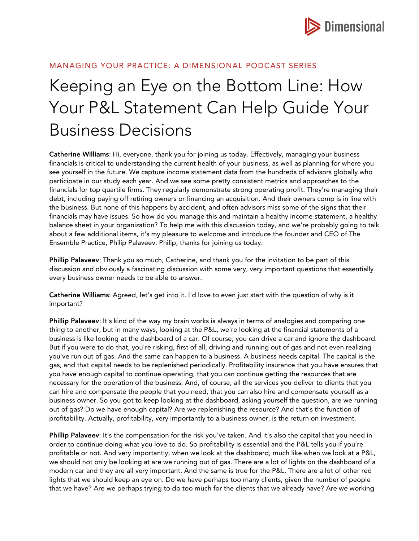

# MANAGING YOUR PRACTICE: A DIMENSIONAL PODCAST SERIES

# Keeping an Eye on the Bottom Line: How Your P&L Statement Can Help Guide Your Business Decisions

Catherine Williams: Hi, everyone, thank you for joining us today. Effectively, managing your business financials is critical to understanding the current health of your business, as well as planning for where you see yourself in the future. We capture income statement data from the hundreds of advisors globally who participate in our study each year. And we see some pretty consistent metrics and approaches to the financials for top quartile firms. They regularly demonstrate strong operating profit. They're managing their debt, including paying off retiring owners or financing an acquisition. And their owners comp is in line with the business. But none of this happens by accident, and often advisors miss some of the signs that their financials may have issues. So how do you manage this and maintain a healthy income statement, a healthy balance sheet in your organization? To help me with this discussion today, and we're probably going to talk about a few additional items, it's my pleasure to welcome and introduce the founder and CEO of The Ensemble Practice, Philip Palaveev. Philip, thanks for joining us today.

Phillip Palaveev: Thank you so much, Catherine, and thank you for the invitation to be part of this discussion and obviously a fascinating discussion with some very, very important questions that essentially every business owner needs to be able to answer.

Catherine Williams: Agreed, let's get into it. I'd love to even just start with the question of why is it important?

Phillip Palaveev: It's kind of the way my brain works is always in terms of analogies and comparing one thing to another, but in many ways, looking at the P&L, we're looking at the financial statements of a business is like looking at the dashboard of a car. Of course, you can drive a car and ignore the dashboard. But if you were to do that, you're risking, first of all, driving and running out of gas and not even realizing you've run out of gas. And the same can happen to a business. A business needs capital. The capital is the gas, and that capital needs to be replenished periodically. Profitability insurance that you have ensures that you have enough capital to continue operating, that you can continue getting the resources that are necessary for the operation of the business. And, of course, all the services you deliver to clients that you can hire and compensate the people that you need, that you can also hire and compensate yourself as a business owner. So you got to keep looking at the dashboard, asking yourself the question, are we running out of gas? Do we have enough capital? Are we replenishing the resource? And that's the function of profitability. Actually, profitability, very importantly to a business owner, is the return on investment.

Phillip Palaveev: It's the compensation for the risk you've taken. And it's also the capital that you need in order to continue doing what you love to do. So profitability is essential and the P&L tells you if you're profitable or not. And very importantly, when we look at the dashboard, much like when we look at a P&L, we should not only be looking at are we running out of gas. There are a lot of lights on the dashboard of a modern car and they are all very important. And the same is true for the P&L. There are a lot of other red lights that we should keep an eye on. Do we have perhaps too many clients, given the number of people that we have? Are we perhaps trying to do too much for the clients that we already have? Are we working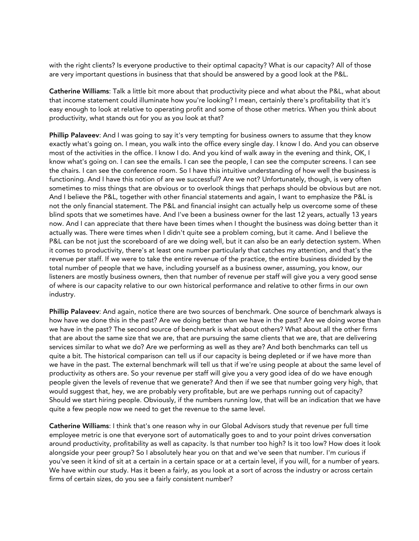with the right clients? Is everyone productive to their optimal capacity? What is our capacity? All of those are very important questions in business that that should be answered by a good look at the P&L.

Catherine Williams: Talk a little bit more about that productivity piece and what about the P&L, what about that income statement could illuminate how you're looking? I mean, certainly there's profitability that it's easy enough to look at relative to operating profit and some of those other metrics. When you think about productivity, what stands out for you as you look at that?

Phillip Palaveev: And I was going to say it's very tempting for business owners to assume that they know exactly what's going on. I mean, you walk into the office every single day. I know I do. And you can observe most of the activities in the office. I know I do. And you kind of walk away in the evening and think, OK, I know what's going on. I can see the emails. I can see the people, I can see the computer screens. I can see the chairs. I can see the conference room. So I have this intuitive understanding of how well the business is functioning. And I have this notion of are we successful? Are we not? Unfortunately, though, is very often sometimes to miss things that are obvious or to overlook things that perhaps should be obvious but are not. And I believe the P&L, together with other financial statements and again, I want to emphasize the P&L is not the only financial statement. The P&L and financial insight can actually help us overcome some of these blind spots that we sometimes have. And I've been a business owner for the last 12 years, actually 13 years now. And I can appreciate that there have been times when I thought the business was doing better than it actually was. There were times when I didn't quite see a problem coming, but it came. And I believe the P&L can be not just the scoreboard of are we doing well, but it can also be an early detection system. When it comes to productivity, there's at least one number particularly that catches my attention, and that's the revenue per staff. If we were to take the entire revenue of the practice, the entire business divided by the total number of people that we have, including yourself as a business owner, assuming, you know, our listeners are mostly business owners, then that number of revenue per staff will give you a very good sense of where is our capacity relative to our own historical performance and relative to other firms in our own industry.

Phillip Palaveev: And again, notice there are two sources of benchmark. One source of benchmark always is how have we done this in the past? Are we doing better than we have in the past? Are we doing worse than we have in the past? The second source of benchmark is what about others? What about all the other firms that are about the same size that we are, that are pursuing the same clients that we are, that are delivering services similar to what we do? Are we performing as well as they are? And both benchmarks can tell us quite a bit. The historical comparison can tell us if our capacity is being depleted or if we have more than we have in the past. The external benchmark will tell us that if we're using people at about the same level of productivity as others are. So your revenue per staff will give you a very good idea of do we have enough people given the levels of revenue that we generate? And then if we see that number going very high, that would suggest that, hey, we are probably very profitable, but are we perhaps running out of capacity? Should we start hiring people. Obviously, if the numbers running low, that will be an indication that we have quite a few people now we need to get the revenue to the same level.

Catherine Williams: I think that's one reason why in our Global Advisors study that revenue per full time employee metric is one that everyone sort of automatically goes to and to your point drives conversation around productivity, profitability as well as capacity. Is that number too high? Is it too low? How does it look alongside your peer group? So I absolutely hear you on that and we've seen that number. I'm curious if you've seen it kind of sit at a certain in a certain space or at a certain level, if you will, for a number of years. We have within our study. Has it been a fairly, as you look at a sort of across the industry or across certain firms of certain sizes, do you see a fairly consistent number?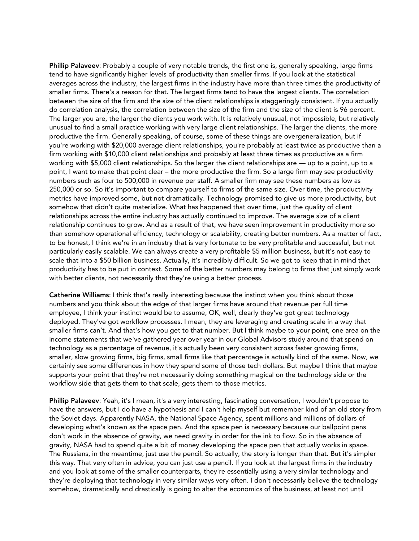Phillip Palaveev: Probably a couple of very notable trends, the first one is, generally speaking, large firms tend to have significantly higher levels of productivity than smaller firms. If you look at the statistical averages across the industry, the largest firms in the industry have more than three times the productivity of smaller firms. There's a reason for that. The largest firms tend to have the largest clients. The correlation between the size of the firm and the size of the client relationships is staggeringly consistent. If you actually do correlation analysis, the correlation between the size of the firm and the size of the client is 96 percent. The larger you are, the larger the clients you work with. It is relatively unusual, not impossible, but relatively unusual to find a small practice working with very large client relationships. The larger the clients, the more productive the firm. Generally speaking, of course, some of these things are overgeneralization, but if you're working with \$20,000 average client relationships, you're probably at least twice as productive than a firm working with \$10,000 client relationships and probably at least three times as productive as a firm working with \$5,000 client relationships. So the larger the client relationships are — up to a point, up to a point, I want to make that point clear – the more productive the firm. So a large firm may see productivity numbers such as four to 500,000 in revenue per staff. A smaller firm may see these numbers as low as 250,000 or so. So it's important to compare yourself to firms of the same size. Over time, the productivity metrics have improved some, but not dramatically. Technology promised to give us more productivity, but somehow that didn't quite materialize. What has happened that over time, just the quality of client relationships across the entire industry has actually continued to improve. The average size of a client relationship continues to grow. And as a result of that, we have seen improvement in productivity more so than somehow operational efficiency, technology or scalability, creating better numbers. As a matter of fact, to be honest, I think we're in an industry that is very fortunate to be very profitable and successful, but not particularly easily scalable. We can always create a very profitable \$5 million business, but it's not easy to scale that into a \$50 billion business. Actually, it's incredibly difficult. So we got to keep that in mind that productivity has to be put in context. Some of the better numbers may belong to firms that just simply work with better clients, not necessarily that they're using a better process.

Catherine Williams: I think that's really interesting because the instinct when you think about those numbers and you think about the edge of that larger firms have around that revenue per full time employee, I think your instinct would be to assume, OK, well, clearly they've got great technology deployed. They've got workflow processes. I mean, they are leveraging and creating scale in a way that smaller firms can't. And that's how you get to that number. But I think maybe to your point, one area on the income statements that we've gathered year over year in our Global Advisors study around that spend on technology as a percentage of revenue, it's actually been very consistent across faster growing firms, smaller, slow growing firms, big firms, small firms like that percentage is actually kind of the same. Now, we certainly see some differences in how they spend some of those tech dollars. But maybe I think that maybe supports your point that they're not necessarily doing something magical on the technology side or the workflow side that gets them to that scale, gets them to those metrics.

Phillip Palaveev: Yeah, it's I mean, it's a very interesting, fascinating conversation, I wouldn't propose to have the answers, but I do have a hypothesis and I can't help myself but remember kind of an old story from the Soviet days. Apparently NASA, the National Space Agency, spent millions and millions of dollars of developing what's known as the space pen. And the space pen is necessary because our ballpoint pens don't work in the absence of gravity, we need gravity in order for the ink to flow. So in the absence of gravity, NASA had to spend quite a bit of money developing the space pen that actually works in space. The Russians, in the meantime, just use the pencil. So actually, the story is longer than that. But it's simpler this way. That very often in advice, you can just use a pencil. If you look at the largest firms in the industry and you look at some of the smaller counterparts, they're essentially using a very similar technology and they're deploying that technology in very similar ways very often. I don't necessarily believe the technology somehow, dramatically and drastically is going to alter the economics of the business, at least not until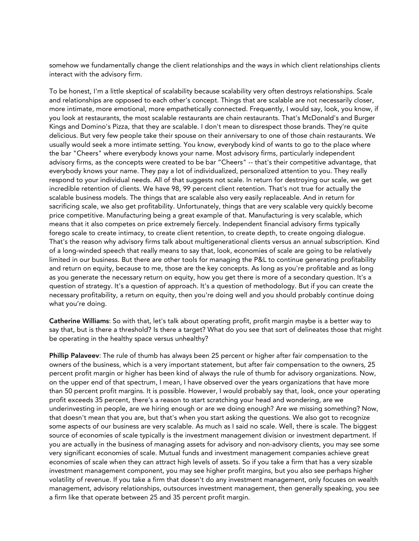somehow we fundamentally change the client relationships and the ways in which client relationships clients interact with the advisory firm.

To be honest, I'm a little skeptical of scalability because scalability very often destroys relationships. Scale and relationships are opposed to each other's concept. Things that are scalable are not necessarily closer, more intimate, more emotional, more empathetically connected. Frequently, I would say, look, you know, if you look at restaurants, the most scalable restaurants are chain restaurants. That's McDonald's and Burger Kings and Domino's Pizza, that they are scalable. I don't mean to disrespect those brands. They're quite delicious. But very few people take their spouse on their anniversary to one of those chain restaurants. We usually would seek a more intimate setting. You know, everybody kind of wants to go to the place where the bar "Cheers" where everybody knows your name. Most advisory firms, particularly independent advisory firms, as the concepts were created to be bar "Cheers" -- that's their competitive advantage, that everybody knows your name. They pay a lot of individualized, personalized attention to you. They really respond to your individual needs. All of that suggests not scale. In return for destroying our scale, we get incredible retention of clients. We have 98, 99 percent client retention. That's not true for actually the scalable business models. The things that are scalable also very easily replaceable. And in return for sacrificing scale, we also get profitability. Unfortunately, things that are very scalable very quickly become price competitive. Manufacturing being a great example of that. Manufacturing is very scalable, which means that it also competes on price extremely fiercely. Independent financial advisory firms typically forego scale to create intimacy, to create client retention, to create depth, to create ongoing dialogue. That's the reason why advisory firms talk about multigenerational clients versus an annual subscription. Kind of a long-winded speech that really means to say that, look, economies of scale are going to be relatively limited in our business. But there are other tools for managing the P&L to continue generating profitability and return on equity, because to me, those are the key concepts. As long as you're profitable and as long as you generate the necessary return on equity, how you get there is more of a secondary question. It's a question of strategy. It's a question of approach. It's a question of methodology. But if you can create the necessary profitability, a return on equity, then you're doing well and you should probably continue doing what you're doing.

Catherine Williams: So with that, let's talk about operating profit, profit margin maybe is a better way to say that, but is there a threshold? Is there a target? What do you see that sort of delineates those that might be operating in the healthy space versus unhealthy?

Phillip Palaveev: The rule of thumb has always been 25 percent or higher after fair compensation to the owners of the business, which is a very important statement, but after fair compensation to the owners, 25 percent profit margin or higher has been kind of always the rule of thumb for advisory organizations. Now, on the upper end of that spectrum, I mean, I have observed over the years organizations that have more than 50 percent profit margins. It is possible. However, I would probably say that, look, once your operating profit exceeds 35 percent, there's a reason to start scratching your head and wondering, are we underinvesting in people, are we hiring enough or are we doing enough? Are we missing something? Now, that doesn't mean that you are, but that's when you start asking the questions. We also got to recognize some aspects of our business are very scalable. As much as I said no scale. Well, there is scale. The biggest source of economies of scale typically is the investment management division or investment department. If you are actually in the business of managing assets for advisory and non-advisory clients, you may see some very significant economies of scale. Mutual funds and investment management companies achieve great economies of scale when they can attract high levels of assets. So if you take a firm that has a very sizable investment management component, you may see higher profit margins, but you also see perhaps higher volatility of revenue. If you take a firm that doesn't do any investment management, only focuses on wealth management, advisory relationships, outsources investment management, then generally speaking, you see a firm like that operate between 25 and 35 percent profit margin.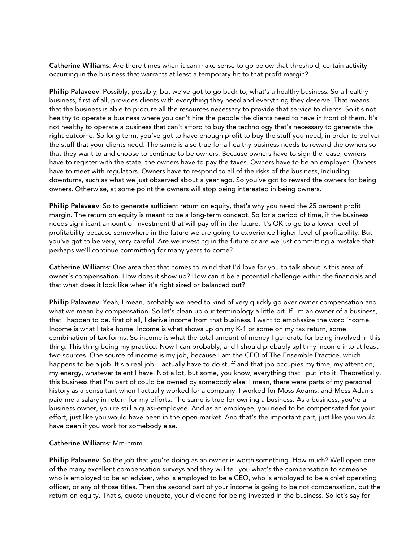Catherine Williams: Are there times when it can make sense to go below that threshold, certain activity occurring in the business that warrants at least a temporary hit to that profit margin?

Phillip Palaveev: Possibly, possibly, but we've got to go back to, what's a healthy business. So a healthy business, first of all, provides clients with everything they need and everything they deserve. That means that the business is able to procure all the resources necessary to provide that service to clients. So it's not healthy to operate a business where you can't hire the people the clients need to have in front of them. It's not healthy to operate a business that can't afford to buy the technology that's necessary to generate the right outcome. So long term, you've got to have enough profit to buy the stuff you need, in order to deliver the stuff that your clients need. The same is also true for a healthy business needs to reward the owners so that they want to and choose to continue to be owners. Because owners have to sign the lease, owners have to register with the state, the owners have to pay the taxes. Owners have to be an employer. Owners have to meet with regulators. Owners have to respond to all of the risks of the business, including downturns, such as what we just observed about a year ago. So you've got to reward the owners for being owners. Otherwise, at some point the owners will stop being interested in being owners.

Phillip Palaveev: So to generate sufficient return on equity, that's why you need the 25 percent profit margin. The return on equity is meant to be a long-term concept. So for a period of time, if the business needs significant amount of investment that will pay off in the future, it's OK to go to a lower level of profitability because somewhere in the future we are going to experience higher level of profitability. But you've got to be very, very careful. Are we investing in the future or are we just committing a mistake that perhaps we'll continue committing for many years to come?

Catherine Williams: One area that that comes to mind that I'd love for you to talk about is this area of owner's compensation. How does it show up? How can it be a potential challenge within the financials and that what does it look like when it's right sized or balanced out?

Phillip Palaveev: Yeah, I mean, probably we need to kind of very quickly go over owner compensation and what we mean by compensation. So let's clean up our terminology a little bit. If I'm an owner of a business, that I happen to be, first of all, I derive income from that business. I want to emphasize the word income. Income is what I take home. Income is what shows up on my K-1 or some on my tax return, some combination of tax forms. So income is what the total amount of money I generate for being involved in this thing. This thing being my practice. Now I can probably, and I should probably split my income into at least two sources. One source of income is my job, because I am the CEO of The Ensemble Practice, which happens to be a job. It's a real job. I actually have to do stuff and that job occupies my time, my attention, my energy, whatever talent I have. Not a lot, but some, you know, everything that I put into it. Theoretically, this business that I'm part of could be owned by somebody else. I mean, there were parts of my personal history as a consultant when I actually worked for a company. I worked for Moss Adams, and Moss Adams paid me a salary in return for my efforts. The same is true for owning a business. As a business, you're a business owner, you're still a quasi-employee. And as an employee, you need to be compensated for your effort, just like you would have been in the open market. And that's the important part, just like you would have been if you work for somebody else.

## Catherine Williams: Mm-hmm.

Phillip Palaveev: So the job that you're doing as an owner is worth something. How much? Well open one of the many excellent compensation surveys and they will tell you what's the compensation to someone who is employed to be an adviser, who is employed to be a CEO, who is employed to be a chief operating officer, or any of those titles. Then the second part of your income is going to be not compensation, but the return on equity. That's, quote unquote, your dividend for being invested in the business. So let's say for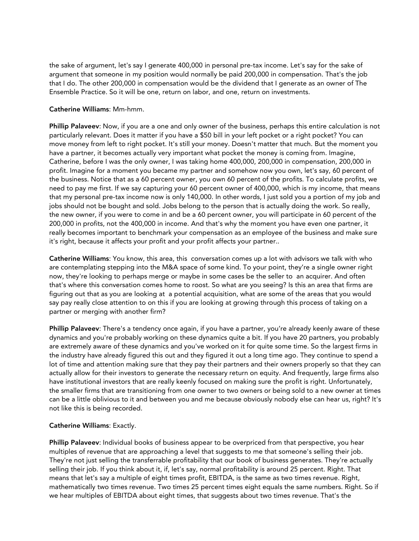the sake of argument, let's say I generate 400,000 in personal pre-tax income. Let's say for the sake of argument that someone in my position would normally be paid 200,000 in compensation. That's the job that I do. The other 200,000 in compensation would be the dividend that I generate as an owner of The Ensemble Practice. So it will be one, return on labor, and one, return on investments.

# Catherine Williams: Mm-hmm.

Phillip Palaveev: Now, if you are a one and only owner of the business, perhaps this entire calculation is not particularly relevant. Does it matter if you have a \$50 bill in your left pocket or a right pocket? You can move money from left to right pocket. It's still your money. Doesn't matter that much. But the moment you have a partner, it becomes actually very important what pocket the money is coming from. Imagine, Catherine, before I was the only owner, I was taking home 400,000, 200,000 in compensation, 200,000 in profit. Imagine for a moment you became my partner and somehow now you own, let's say, 60 percent of the business. Notice that as a 60 percent owner, you own 60 percent of the profits. To calculate profits, we need to pay me first. If we say capturing your 60 percent owner of 400,000, which is my income, that means that my personal pre-tax income now is only 140,000. In other words, I just sold you a portion of my job and jobs should not be bought and sold. Jobs belong to the person that is actually doing the work. So really, the new owner, if you were to come in and be a 60 percent owner, you will participate in 60 percent of the 200,000 in profits, not the 400,000 in income. And that's why the moment you have even one partner, it really becomes important to benchmark your compensation as an employee of the business and make sure it's right, because it affects your profit and your profit affects your partner..

Catherine Williams: You know, this area, this conversation comes up a lot with advisors we talk with who are contemplating stepping into the M&A space of some kind. To your point, they're a single owner right now, they're looking to perhaps merge or maybe in some cases be the seller to an acquirer. And often that's where this conversation comes home to roost. So what are you seeing? Is this an area that firms are figuring out that as you are looking at a potential acquisition, what are some of the areas that you would say pay really close attention to on this if you are looking at growing through this process of taking on a partner or merging with another firm?

Phillip Palaveev: There's a tendency once again, if you have a partner, you're already keenly aware of these dynamics and you're probably working on these dynamics quite a bit. If you have 20 partners, you probably are extremely aware of these dynamics and you've worked on it for quite some time. So the largest firms in the industry have already figured this out and they figured it out a long time ago. They continue to spend a lot of time and attention making sure that they pay their partners and their owners properly so that they can actually allow for their investors to generate the necessary return on equity. And frequently, large firms also have institutional investors that are really keenly focused on making sure the profit is right. Unfortunately, the smaller firms that are transitioning from one owner to two owners or being sold to a new owner at times can be a little oblivious to it and between you and me because obviously nobody else can hear us, right? It's not like this is being recorded.

## Catherine Williams: Exactly.

Phillip Palaveev: Individual books of business appear to be overpriced from that perspective, you hear multiples of revenue that are approaching a level that suggests to me that someone's selling their job. They're not just selling the transferrable profitability that our book of business generates. They're actually selling their job. If you think about it, if, let's say, normal profitability is around 25 percent. Right. That means that let's say a multiple of eight times profit, EBITDA, is the same as two times revenue. Right, mathematically two times revenue. Two times 25 percent times eight equals the same numbers. Right. So if we hear multiples of EBITDA about eight times, that suggests about two times revenue. That's the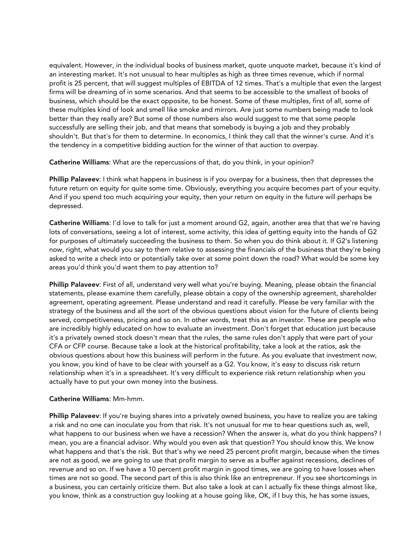equivalent. However, in the individual books of business market, quote unquote market, because it's kind of an interesting market. It's not unusual to hear multiples as high as three times revenue, which if normal profit is 25 percent, that will suggest multiples of EBITDA of 12 times. That's a multiple that even the largest firms will be dreaming of in some scenarios. And that seems to be accessible to the smallest of books of business, which should be the exact opposite, to be honest. Some of these multiples, first of all, some of these multiples kind of look and smell like smoke and mirrors. Are just some numbers being made to look better than they really are? But some of those numbers also would suggest to me that some people successfully are selling their job, and that means that somebody is buying a job and they probably shouldn't. But that's for them to determine. In economics, I think they call that the winner's curse. And it's the tendency in a competitive bidding auction for the winner of that auction to overpay.

Catherine Williams: What are the repercussions of that, do you think, in your opinion?

Phillip Palaveev: I think what happens in business is if you overpay for a business, then that depresses the future return on equity for quite some time. Obviously, everything you acquire becomes part of your equity. And if you spend too much acquiring your equity, then your return on equity in the future will perhaps be depressed.

Catherine Williams: I'd love to talk for just a moment around G2, again, another area that that we're having lots of conversations, seeing a lot of interest, some activity, this idea of getting equity into the hands of G2 for purposes of ultimately succeeding the business to them. So when you do think about it. If G2's listening now, right, what would you say to them relative to assessing the financials of the business that they're being asked to write a check into or potentially take over at some point down the road? What would be some key areas you'd think you'd want them to pay attention to?

Phillip Palaveev: First of all, understand very well what you're buying. Meaning, please obtain the financial statements, please examine them carefully, please obtain a copy of the ownership agreement, shareholder agreement, operating agreement. Please understand and read it carefully. Please be very familiar with the strategy of the business and all the sort of the obvious questions about vision for the future of clients being served, competitiveness, pricing and so on. In other words, treat this as an investor. These are people who are incredibly highly educated on how to evaluate an investment. Don't forget that education just because it's a privately owned stock doesn't mean that the rules, the same rules don't apply that were part of your CFA or CFP course. Because take a look at the historical profitability, take a look at the ratios, ask the obvious questions about how this business will perform in the future. As you evaluate that investment now, you know, you kind of have to be clear with yourself as a G2. You know, it's easy to discuss risk return relationship when it's in a spreadsheet. It's very difficult to experience risk return relationship when you actually have to put your own money into the business.

## Catherine Williams: Mm-hmm.

Phillip Palaveev: If you're buying shares into a privately owned business, you have to realize you are taking a risk and no one can inoculate you from that risk. It's not unusual for me to hear questions such as, well, what happens to our business when we have a recession? When the answer is, what do you think happens? I mean, you are a financial advisor. Why would you even ask that question? You should know this. We know what happens and that's the risk. But that's why we need 25 percent profit margin, because when the times are not as good, we are going to use that profit margin to serve as a buffer against recessions, declines of revenue and so on. If we have a 10 percent profit margin in good times, we are going to have losses when times are not so good. The second part of this is also think like an entrepreneur. If you see shortcomings in a business, you can certainly criticize them. But also take a look at can I actually fix these things almost like, you know, think as a construction guy looking at a house going like, OK, if I buy this, he has some issues,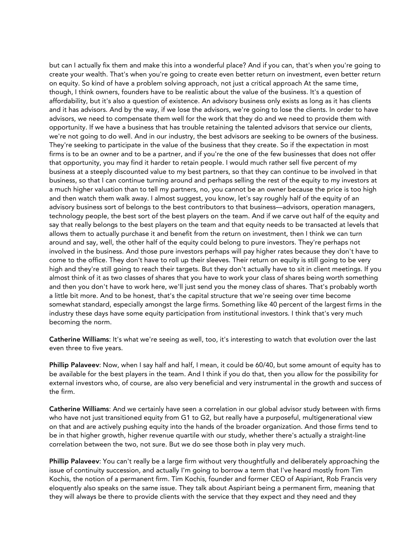but can I actually fix them and make this into a wonderful place? And if you can, that's when you're going to create your wealth. That's when you're going to create even better return on investment, even better return on equity. So kind of have a problem solving approach, not just a critical approach At the same time, though, I think owners, founders have to be realistic about the value of the business. It's a question of affordability, but it's also a question of existence. An advisory business only exists as long as it has clients and it has advisors. And by the way, if we lose the advisors, we're going to lose the clients. In order to have advisors, we need to compensate them well for the work that they do and we need to provide them with opportunity. If we have a business that has trouble retaining the talented advisors that service our clients, we're not going to do well. And in our industry, the best advisors are seeking to be owners of the business. They're seeking to participate in the value of the business that they create. So if the expectation in most firms is to be an owner and to be a partner, and if you're the one of the few businesses that does not offer that opportunity, you may find it harder to retain people. I would much rather sell five percent of my business at a steeply discounted value to my best partners, so that they can continue to be involved in that business, so that I can continue turning around and perhaps selling the rest of the equity to my investors at a much higher valuation than to tell my partners, no, you cannot be an owner because the price is too high and then watch them walk away. I almost suggest, you know, let's say roughly half of the equity of an advisory business sort of belongs to the best contributors to that business—advisors, operation managers, technology people, the best sort of the best players on the team. And if we carve out half of the equity and say that really belongs to the best players on the team and that equity needs to be transacted at levels that allows them to actually purchase it and benefit from the return on investment, then I think we can turn around and say, well, the other half of the equity could belong to pure investors. They're perhaps not involved in the business. And those pure investors perhaps will pay higher rates because they don't have to come to the office. They don't have to roll up their sleeves. Their return on equity is still going to be very high and they're still going to reach their targets. But they don't actually have to sit in client meetings. If you almost think of it as two classes of shares that you have to work your class of shares being worth something and then you don't have to work here, we'll just send you the money class of shares. That's probably worth a little bit more. And to be honest, that's the capital structure that we're seeing over time become somewhat standard, especially amongst the large firms. Something like 40 percent of the largest firms in the industry these days have some equity participation from institutional investors. I think that's very much becoming the norm.

Catherine Williams: It's what we're seeing as well, too, it's interesting to watch that evolution over the last even three to five years.

Phillip Palaveev: Now, when I say half and half, I mean, it could be 60/40, but some amount of equity has to be available for the best players in the team. And I think if you do that, then you allow for the possibility for external investors who, of course, are also very beneficial and very instrumental in the growth and success of the firm.

Catherine Williams: And we certainly have seen a correlation in our global advisor study between with firms who have not just transitioned equity from G1 to G2, but really have a purposeful, multigenerational view on that and are actively pushing equity into the hands of the broader organization. And those firms tend to be in that higher growth, higher revenue quartile with our study, whether there's actually a straight-line correlation between the two, not sure. But we do see those both in play very much.

Phillip Palaveev: You can't really be a large firm without very thoughtfully and deliberately approaching the issue of continuity succession, and actually I'm going to borrow a term that I've heard mostly from Tim Kochis, the notion of a permanent firm. Tim Kochis, founder and former CEO of Aspiriant, Rob Francis very eloquently also speaks on the same issue. They talk about Aspiriant being a permanent firm, meaning that they will always be there to provide clients with the service that they expect and they need and they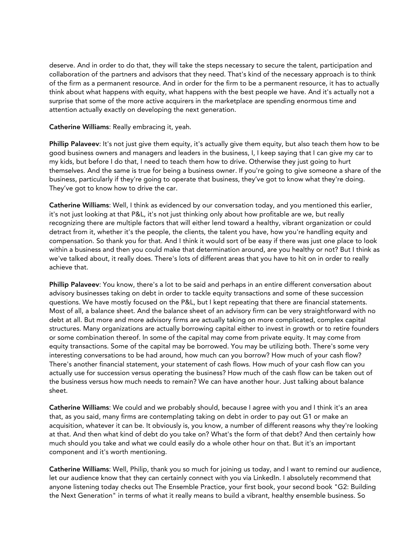deserve. And in order to do that, they will take the steps necessary to secure the talent, participation and collaboration of the partners and advisors that they need. That's kind of the necessary approach is to think of the firm as a permanent resource. And in order for the firm to be a permanent resource, it has to actually think about what happens with equity, what happens with the best people we have. And it's actually not a surprise that some of the more active acquirers in the marketplace are spending enormous time and attention actually exactly on developing the next generation.

Catherine Williams: Really embracing it, yeah.

Phillip Palaveev: It's not just give them equity, it's actually give them equity, but also teach them how to be good business owners and managers and leaders in the business, I, I keep saying that I can give my car to my kids, but before I do that, I need to teach them how to drive. Otherwise they just going to hurt themselves. And the same is true for being a business owner. If you're going to give someone a share of the business, particularly if they're going to operate that business, they've got to know what they're doing. They've got to know how to drive the car.

Catherine Williams: Well, I think as evidenced by our conversation today, and you mentioned this earlier, it's not just looking at that P&L, it's not just thinking only about how profitable are we, but really recognizing there are multiple factors that will either lend toward a healthy, vibrant organization or could detract from it, whether it's the people, the clients, the talent you have, how you're handling equity and compensation. So thank you for that. And I think it would sort of be easy if there was just one place to look within a business and then you could make that determination around, are you healthy or not? But I think as we've talked about, it really does. There's lots of different areas that you have to hit on in order to really achieve that.

Phillip Palaveev: You know, there's a lot to be said and perhaps in an entire different conversation about advisory businesses taking on debt in order to tackle equity transactions and some of these succession questions. We have mostly focused on the P&L, but I kept repeating that there are financial statements. Most of all, a balance sheet. And the balance sheet of an advisory firm can be very straightforward with no debt at all. But more and more advisory firms are actually taking on more complicated, complex capital structures. Many organizations are actually borrowing capital either to invest in growth or to retire founders or some combination thereof. In some of the capital may come from private equity. It may come from equity transactions. Some of the capital may be borrowed. You may be utilizing both. There's some very interesting conversations to be had around, how much can you borrow? How much of your cash flow? There's another financial statement, your statement of cash flows. How much of your cash flow can you actually use for succession versus operating the business? How much of the cash flow can be taken out of the business versus how much needs to remain? We can have another hour. Just talking about balance sheet.

Catherine Williams: We could and we probably should, because I agree with you and I think it's an area that, as you said, many firms are contemplating taking on debt in order to pay out G1 or make an acquisition, whatever it can be. It obviously is, you know, a number of different reasons why they're looking at that. And then what kind of debt do you take on? What's the form of that debt? And then certainly how much should you take and what we could easily do a whole other hour on that. But it's an important component and it's worth mentioning.

Catherine Williams: Well, Philip, thank you so much for joining us today, and I want to remind our audience, let our audience know that they can certainly connect with you via LinkedIn. I absolutely recommend that anyone listening today checks out The Ensemble Practice, your first book, your second book "G2: Building the Next Generation" in terms of what it really means to build a vibrant, healthy ensemble business. So